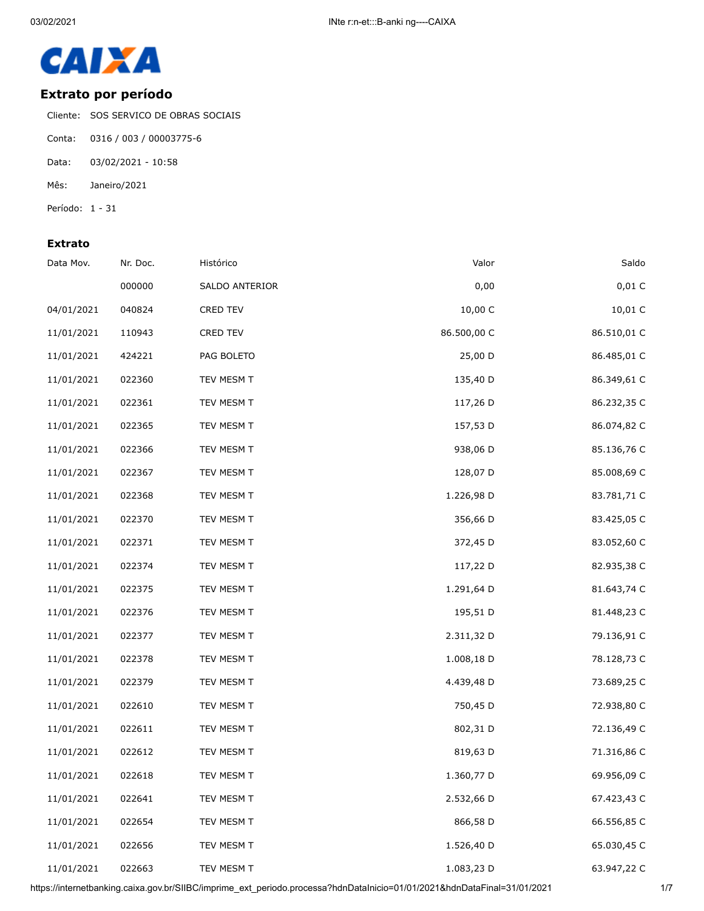

## Extrato por período

Cliente: SOS SERVICO DE OBRAS SOCIAIS

- Conta: 0316 / 003 / 00003775-6
- Data: 03/02/2021 - 10:58
- Mês: Janeiro/2021
- Período: 1 31

## **Extrato**

| Data Mov.  | Nr. Doc. | Histórico      | Valor       | Saldo       |
|------------|----------|----------------|-------------|-------------|
|            | 000000   | SALDO ANTERIOR | 0,00        | 0,01C       |
| 04/01/2021 | 040824   | CRED TEV       | 10,00 C     | 10,01 C     |
| 11/01/2021 | 110943   | CRED TEV       | 86.500,00 C | 86.510,01 C |
| 11/01/2021 | 424221   | PAG BOLETO     | 25,00 D     | 86.485,01 C |
| 11/01/2021 | 022360   | TEV MESM T     | 135,40 D    | 86.349,61 C |
| 11/01/2021 | 022361   | TEV MESM T     | 117,26 D    | 86.232,35 C |
| 11/01/2021 | 022365   | TEV MESM T     | 157,53 D    | 86.074,82 C |
| 11/01/2021 | 022366   | TEV MESM T     | 938,06 D    | 85.136,76 C |
| 11/01/2021 | 022367   | TEV MESM T     | 128,07 D    | 85.008,69 C |
| 11/01/2021 | 022368   | TEV MESM T     | 1.226,98 D  | 83.781,71 C |
| 11/01/2021 | 022370   | TEV MESM T     | 356,66 D    | 83.425,05 C |
| 11/01/2021 | 022371   | TEV MESM T     | 372,45 D    | 83.052,60 C |
| 11/01/2021 | 022374   | TEV MESM T     | 117,22 D    | 82.935,38 C |
| 11/01/2021 | 022375   | TEV MESM T     | 1.291,64 D  | 81.643,74 C |
| 11/01/2021 | 022376   | TEV MESM T     | 195,51 D    | 81.448,23 C |
| 11/01/2021 | 022377   | TEV MESM T     | 2.311,32 D  | 79.136,91 C |
| 11/01/2021 | 022378   | TEV MESM T     | 1.008,18 D  | 78.128,73 C |
| 11/01/2021 | 022379   | TEV MESM T     | 4.439,48 D  | 73.689,25 C |
| 11/01/2021 | 022610   | TEV MESM T     | 750,45 D    | 72.938,80 C |
| 11/01/2021 | 022611   | TEV MESM T     | 802,31 D    | 72.136,49 C |
| 11/01/2021 | 022612   | TEV MESM T     | 819,63 D    | 71.316,86 C |
| 11/01/2021 | 022618   | TEV MESM T     | 1.360,77 D  | 69.956,09 C |
| 11/01/2021 | 022641   | TEV MESM T     | 2.532,66 D  | 67.423,43 C |
| 11/01/2021 | 022654   | TEV MESM T     | 866,58 D    | 66.556,85 C |
| 11/01/2021 | 022656   | TEV MESM T     | 1.526,40 D  | 65.030,45 C |
| 11/01/2021 | 022663   | TEV MESM T     | 1.083,23 D  | 63.947,22 C |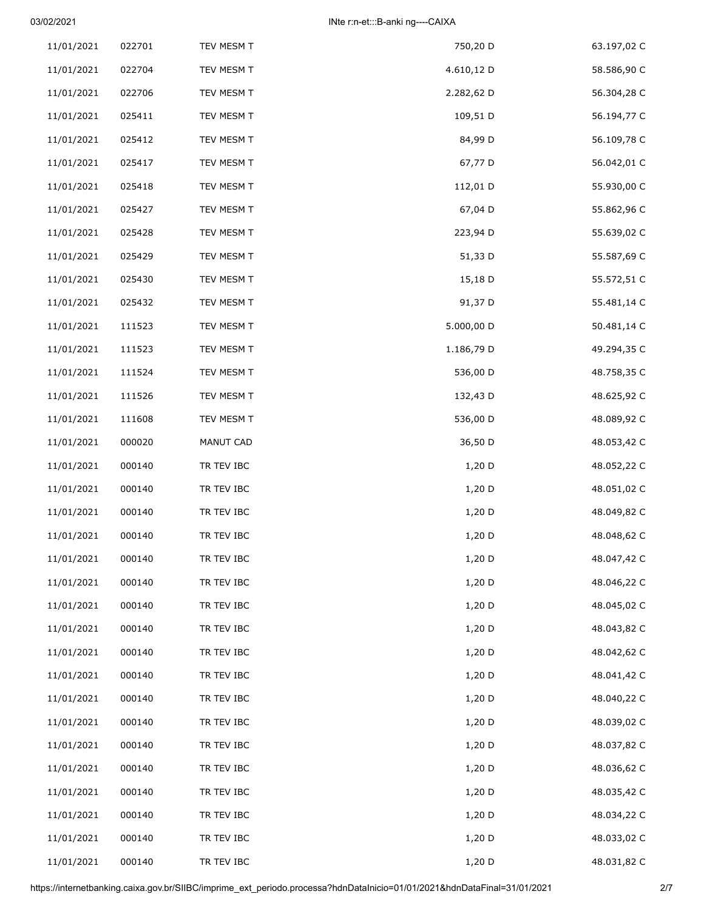03/02/2021

## INte r:n-et:::B-anki ng----CAIXA

| 11/01/2021 | 022701 | TEV MESM T | 750,20 D   | 63.197,02 C |
|------------|--------|------------|------------|-------------|
| 11/01/2021 | 022704 | TEV MESM T | 4.610,12 D | 58.586,90 C |
| 11/01/2021 | 022706 | TEV MESM T | 2.282,62 D | 56.304,28 C |
| 11/01/2021 | 025411 | TEV MESM T | 109,51 D   | 56.194,77 C |
| 11/01/2021 | 025412 | TEV MESM T | 84,99 D    | 56.109,78 C |
| 11/01/2021 | 025417 | TEV MESM T | 67,77 D    | 56.042,01 C |
| 11/01/2021 | 025418 | TEV MESM T | 112,01 D   | 55.930,00 C |
| 11/01/2021 | 025427 | TEV MESM T | 67,04 D    | 55.862,96 C |
| 11/01/2021 | 025428 | TEV MESM T | 223,94 D   | 55.639,02 C |
| 11/01/2021 | 025429 | TEV MESM T | 51,33 D    | 55.587,69 C |
| 11/01/2021 | 025430 | TEV MESM T | 15,18 D    | 55.572,51 C |
| 11/01/2021 | 025432 | TEV MESM T | 91,37 D    | 55.481,14 C |
| 11/01/2021 | 111523 | TEV MESM T | 5.000,00 D | 50.481,14 C |
| 11/01/2021 | 111523 | TEV MESM T | 1.186,79 D | 49.294,35 C |
| 11/01/2021 | 111524 | TEV MESM T | 536,00 D   | 48.758,35 C |
| 11/01/2021 | 111526 | TEV MESM T | 132,43 D   | 48.625,92 C |
| 11/01/2021 | 111608 | TEV MESM T | 536,00 D   | 48.089,92 C |
| 11/01/2021 | 000020 | MANUT CAD  | 36,50 D    | 48.053,42 C |
| 11/01/2021 | 000140 | TR TEV IBC | $1,20$ D   | 48.052,22 C |
| 11/01/2021 | 000140 | TR TEV IBC | $1,20$ D   | 48.051,02 C |
| 11/01/2021 | 000140 | TR TEV IBC | $1,20$ D   | 48.049,82 C |
| 11/01/2021 | 000140 | TR TEV IBC | 1,20 D     | 48.048,62 C |
| 11/01/2021 | 000140 | TR TEV IBC | 1,20 D     | 48.047,42 C |
| 11/01/2021 | 000140 | TR TEV IBC | 1,20 D     | 48.046,22 C |
| 11/01/2021 | 000140 | TR TEV IBC | 1,20 D     | 48.045,02 C |
| 11/01/2021 | 000140 | TR TEV IBC | 1,20 D     | 48.043,82 C |
| 11/01/2021 | 000140 | TR TEV IBC | $1,20$ D   | 48.042,62 C |
| 11/01/2021 | 000140 | TR TEV IBC | 1,20 D     | 48.041,42 C |
| 11/01/2021 | 000140 | TR TEV IBC | 1,20 D     | 48.040,22 C |
| 11/01/2021 | 000140 | TR TEV IBC | $1,20$ D   | 48.039,02 C |
| 11/01/2021 | 000140 | TR TEV IBC | 1,20 D     | 48.037,82 C |
| 11/01/2021 | 000140 | TR TEV IBC | $1,20$ D   | 48.036,62 C |
| 11/01/2021 | 000140 | TR TEV IBC | 1,20 D     | 48.035,42 C |
| 11/01/2021 | 000140 | TR TEV IBC | 1,20 D     | 48.034,22 C |
| 11/01/2021 | 000140 | TR TEV IBC | $1,20$ D   | 48.033,02 C |
| 11/01/2021 | 000140 | TR TEV IBC | 1,20 D     | 48.031,82 C |

https://internetbanking.caixa.gov.br/SIIBC/imprime\_ext\_periodo.processa?hdnDataInicio=01/01/2021&hdnDataFinal=31/01/2021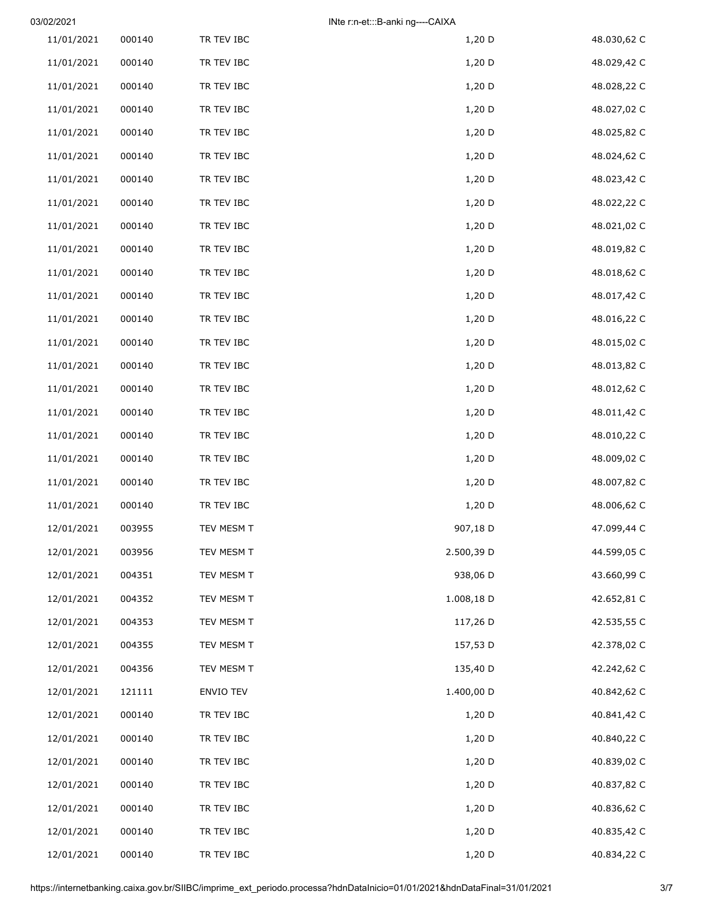| 11/01/2021 | 000140 | TR TEV IBC | 1,20 D     | 48.030,62 C |
|------------|--------|------------|------------|-------------|
| 11/01/2021 | 000140 | TR TEV IBC | 1,20 D     | 48.029,42 C |
| 11/01/2021 | 000140 | TR TEV IBC | 1,20 D     | 48.028,22 C |
| 11/01/2021 | 000140 | TR TEV IBC | 1,20 D     | 48.027,02 C |
| 11/01/2021 | 000140 | TR TEV IBC | 1,20 D     | 48.025,82 C |
| 11/01/2021 | 000140 | TR TEV IBC | 1,20 D     | 48.024,62 C |
| 11/01/2021 | 000140 | TR TEV IBC | 1,20 D     | 48.023,42 C |
| 11/01/2021 | 000140 | TR TEV IBC | 1,20 D     | 48.022,22 C |
| 11/01/2021 | 000140 | TR TEV IBC | 1,20 D     | 48.021,02 C |
| 11/01/2021 | 000140 | TR TEV IBC | 1,20 D     | 48.019,82 C |
| 11/01/2021 | 000140 | TR TEV IBC | 1,20 D     | 48.018,62 C |
| 11/01/2021 | 000140 | TR TEV IBC | $1,20$ D   | 48.017,42 C |
| 11/01/2021 | 000140 | TR TEV IBC | 1,20 D     | 48.016,22 C |
| 11/01/2021 | 000140 | TR TEV IBC | 1,20 D     | 48.015,02 C |
| 11/01/2021 | 000140 | TR TEV IBC | 1,20 D     | 48.013,82 C |
| 11/01/2021 | 000140 | TR TEV IBC | $1,20$ D   | 48.012,62 C |
| 11/01/2021 | 000140 | TR TEV IBC | 1,20 D     | 48.011,42 C |
| 11/01/2021 | 000140 | TR TEV IBC | 1,20 D     | 48.010,22 C |
| 11/01/2021 | 000140 | TR TEV IBC | $1,20$ D   | 48.009,02 C |
| 11/01/2021 | 000140 | TR TEV IBC | 1,20 D     | 48.007,82 C |
| 11/01/2021 | 000140 | TR TEV IBC | 1,20 D     | 48.006,62 C |
| 12/01/2021 | 003955 | TEV MESM T | 907,18 D   | 47.099,44 C |
| 12/01/2021 | 003956 | TEV MESM T | 2.500,39 D | 44.599,05 C |
| 12/01/2021 | 004351 | TEV MESM T | 938,06 D   | 43.660,99 C |
| 12/01/2021 | 004352 | TEV MESM T | 1.008,18 D | 42.652,81 C |
| 12/01/2021 | 004353 | TEV MESM T | 117,26 D   | 42.535,55 C |
| 12/01/2021 | 004355 | TEV MESM T | 157,53 D   | 42.378,02 C |
| 12/01/2021 | 004356 | TEV MESM T | 135,40 D   | 42.242,62 C |
| 12/01/2021 | 121111 | ENVIO TEV  | 1.400,00 D | 40.842,62 C |
| 12/01/2021 | 000140 | TR TEV IBC | $1,20$ D   | 40.841,42 C |
| 12/01/2021 | 000140 | TR TEV IBC | 1,20 D     | 40.840,22 C |
| 12/01/2021 | 000140 | TR TEV IBC | $1,20$ D   | 40.839,02 C |
| 12/01/2021 | 000140 | TR TEV IBC | 1,20 D     | 40.837,82 C |
| 12/01/2021 | 000140 | TR TEV IBC | 1,20 D     | 40.836,62 C |
| 12/01/2021 | 000140 | TR TEV IBC | 1,20 D     | 40.835,42 C |
| 12/01/2021 | 000140 | TR TEV IBC | 1,20 D     | 40.834,22 C |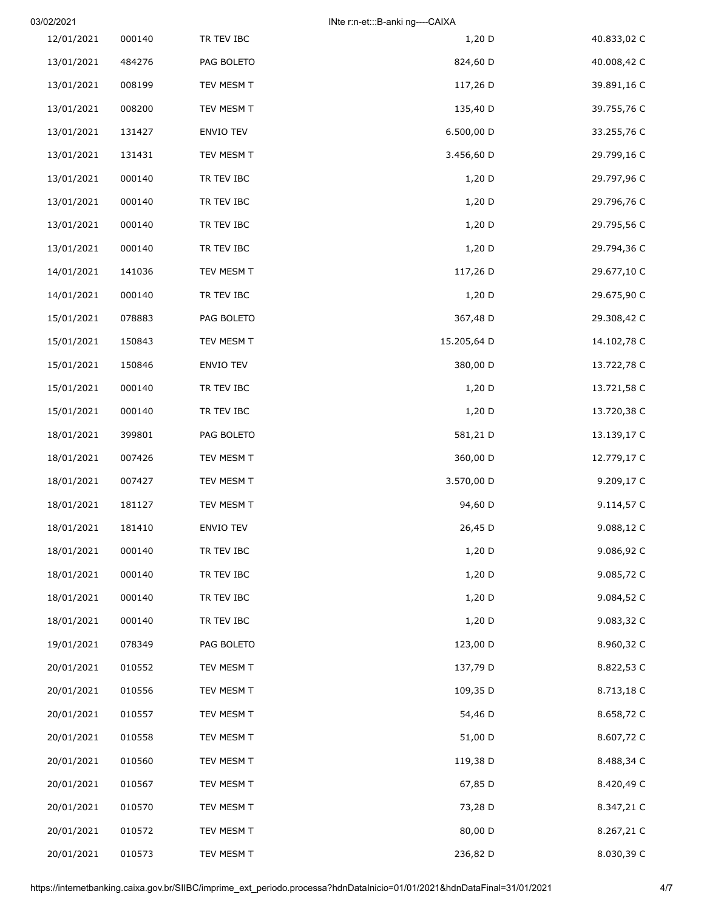| 03/02/2021 |        |                  | INte r:n-et:::B-anki ng----CAIXA |             |
|------------|--------|------------------|----------------------------------|-------------|
| 12/01/2021 | 000140 | TR TEV IBC       | 1,20 D                           | 40.833,02 C |
| 13/01/2021 | 484276 | PAG BOLETO       | 824,60 D                         | 40.008,42 C |
| 13/01/2021 | 008199 | TEV MESM T       | 117,26 D                         | 39.891,16 C |
| 13/01/2021 | 008200 | TEV MESM T       | 135,40 D                         | 39.755,76 C |
| 13/01/2021 | 131427 | ENVIO TEV        | 6.500,00 D                       | 33.255,76 C |
| 13/01/2021 | 131431 | TEV MESM T       | 3.456,60 D                       | 29.799,16 C |
| 13/01/2021 | 000140 | TR TEV IBC       | $1,20$ D                         | 29.797,96 C |
| 13/01/2021 | 000140 | TR TEV IBC       | 1,20 D                           | 29.796,76 C |
| 13/01/2021 | 000140 | TR TEV IBC       | $1,20$ D                         | 29.795,56 C |
| 13/01/2021 | 000140 | TR TEV IBC       | 1,20 D                           | 29.794,36 C |
| 14/01/2021 | 141036 | TEV MESM T       | 117,26 D                         | 29.677,10 C |
| 14/01/2021 | 000140 | TR TEV IBC       | 1,20 D                           | 29.675,90 C |
| 15/01/2021 | 078883 | PAG BOLETO       | 367,48 D                         | 29.308,42 C |
| 15/01/2021 | 150843 | TEV MESM T       | 15.205,64 D                      | 14.102,78 C |
| 15/01/2021 | 150846 | ENVIO TEV        | 380,00 D                         | 13.722,78 C |
| 15/01/2021 | 000140 | TR TEV IBC       | 1,20 D                           | 13.721,58 C |
| 15/01/2021 | 000140 | TR TEV IBC       | 1,20 D                           | 13.720,38 C |
| 18/01/2021 | 399801 | PAG BOLETO       | 581,21 D                         | 13.139,17 C |
| 18/01/2021 | 007426 | TEV MESM T       | 360,00 D                         | 12.779,17 C |
| 18/01/2021 | 007427 | TEV MESM T       | 3.570,00 D                       | 9.209,17 C  |
| 18/01/2021 | 181127 | TEV MESM T       | 94,60 D                          | 9.114,57 C  |
| 18/01/2021 | 181410 | <b>ENVIO TEV</b> | 26,45 D                          | 9.088,12 C  |
| 18/01/2021 | 000140 | TR TEV IBC       | 1,20 D                           | 9.086,92 C  |
| 18/01/2021 | 000140 | TR TEV IBC       | 1,20 D                           | 9.085,72 C  |
| 18/01/2021 | 000140 | TR TEV IBC       | 1,20 D                           | 9.084,52 C  |
| 18/01/2021 | 000140 | TR TEV IBC       | $1,20$ D                         | 9.083,32 C  |
| 19/01/2021 | 078349 | PAG BOLETO       | 123,00 D                         | 8.960,32 C  |
| 20/01/2021 | 010552 | TEV MESM T       | 137,79 D                         | 8.822,53 C  |
| 20/01/2021 | 010556 | TEV MESM T       | 109,35 D                         | 8.713,18 C  |
| 20/01/2021 | 010557 | TEV MESM T       | 54,46 D                          | 8.658,72 C  |
| 20/01/2021 | 010558 | TEV MESM T       | 51,00 D                          | 8.607,72 C  |
| 20/01/2021 | 010560 | TEV MESM T       | 119,38 D                         | 8.488,34 C  |
| 20/01/2021 | 010567 | TEV MESM T       | 67,85 D                          | 8.420,49 C  |
| 20/01/2021 | 010570 | TEV MESM T       | 73,28 D                          | 8.347,21 C  |
| 20/01/2021 | 010572 | TEV MESM T       | 80,00 D                          | 8.267,21 C  |
| 20/01/2021 | 010573 | TEV MESM T       | 236,82 D                         | 8.030,39 C  |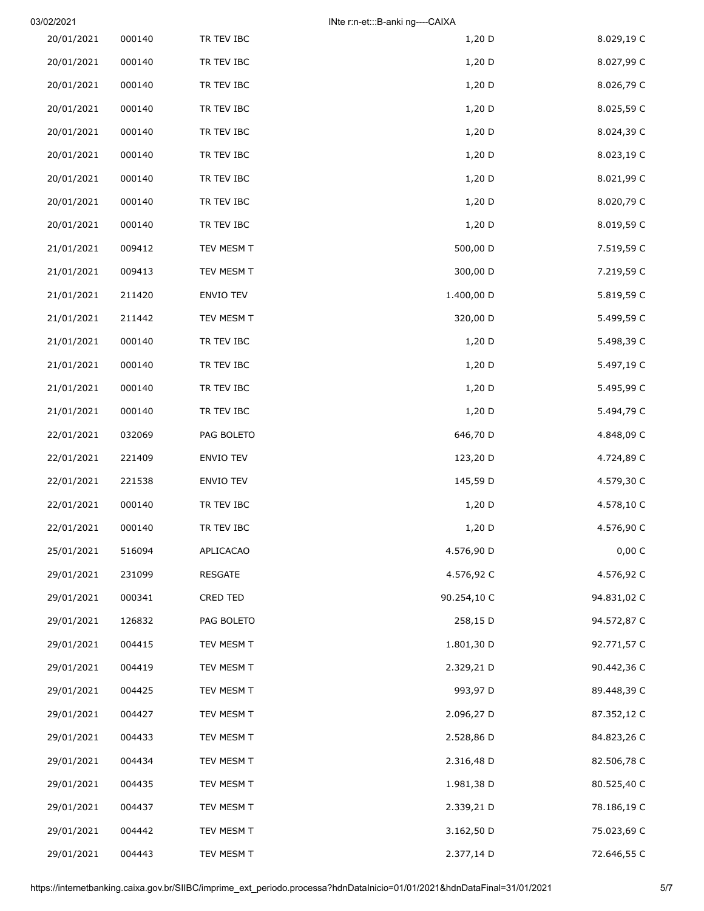| 03/02/2021 |        |                | INte r:n-et:::B-anki ng----CAIXA |             |
|------------|--------|----------------|----------------------------------|-------------|
| 20/01/2021 | 000140 | TR TEV IBC     | 1,20 D                           | 8.029,19 C  |
| 20/01/2021 | 000140 | TR TEV IBC     | 1,20 D                           | 8.027,99 C  |
| 20/01/2021 | 000140 | TR TEV IBC     | 1,20 D                           | 8.026,79 C  |
| 20/01/2021 | 000140 | TR TEV IBC     | 1,20 D                           | 8.025,59 C  |
| 20/01/2021 | 000140 | TR TEV IBC     | 1,20 D                           | 8.024,39 C  |
| 20/01/2021 | 000140 | TR TEV IBC     | $1,20$ D                         | 8.023,19 C  |
| 20/01/2021 | 000140 | TR TEV IBC     | 1,20 D                           | 8.021,99 C  |
| 20/01/2021 | 000140 | TR TEV IBC     | $1,20$ D                         | 8.020,79 C  |
| 20/01/2021 | 000140 | TR TEV IBC     | $1,20$ D                         | 8.019,59 C  |
| 21/01/2021 | 009412 | TEV MESM T     | 500,00 D                         | 7.519,59 C  |
| 21/01/2021 | 009413 | TEV MESM T     | 300,00 D                         | 7.219,59 C  |
| 21/01/2021 | 211420 | ENVIO TEV      | 1.400,00 D                       | 5.819,59 C  |
| 21/01/2021 | 211442 | TEV MESM T     | 320,00 D                         | 5.499,59 C  |
| 21/01/2021 | 000140 | TR TEV IBC     | $1,20$ D                         | 5.498,39 C  |
| 21/01/2021 | 000140 | TR TEV IBC     | $1,20$ D                         | 5.497,19 C  |
| 21/01/2021 | 000140 | TR TEV IBC     | $1,20$ D                         | 5.495,99 C  |
| 21/01/2021 | 000140 | TR TEV IBC     | $1,20$ D                         | 5.494,79 C  |
| 22/01/2021 | 032069 | PAG BOLETO     | 646,70 D                         | 4.848,09 C  |
| 22/01/2021 | 221409 | ENVIO TEV      | 123,20 D                         | 4.724,89 C  |
| 22/01/2021 | 221538 | ENVIO TEV      | 145,59 D                         | 4.579,30 C  |
| 22/01/2021 | 000140 | TR TEV IBC     | $1,20$ D                         | 4.578,10 C  |
| 22/01/2021 | 000140 | TR TEV IBC     | $1,20$ D                         | 4.576,90 C  |
| 25/01/2021 | 516094 | APLICACAO      | 4.576,90 D                       | 0,00 C      |
| 29/01/2021 | 231099 | <b>RESGATE</b> | 4.576,92 C                       | 4.576,92 C  |
| 29/01/2021 | 000341 | CRED TED       | 90.254,10 C                      | 94.831,02 C |
| 29/01/2021 | 126832 | PAG BOLETO     | 258,15 D                         | 94.572,87 C |
| 29/01/2021 | 004415 | TEV MESM T     | 1.801,30 D                       | 92.771,57 C |
| 29/01/2021 | 004419 | TEV MESM T     | 2.329,21 D                       | 90.442,36 C |
| 29/01/2021 | 004425 | TEV MESM T     | 993,97 D                         | 89.448,39 C |
| 29/01/2021 | 004427 | TEV MESM T     | 2.096,27 D                       | 87.352,12 C |
| 29/01/2021 | 004433 | TEV MESM T     | 2.528,86 D                       | 84.823,26 C |
| 29/01/2021 | 004434 | TEV MESM T     | 2.316,48 D                       | 82.506,78 C |
| 29/01/2021 | 004435 | TEV MESM T     | 1.981,38 D                       | 80.525,40 C |
| 29/01/2021 | 004437 | TEV MESM T     | 2.339,21 D                       | 78.186,19 C |
| 29/01/2021 | 004442 | TEV MESM T     | 3.162,50 D                       | 75.023,69 C |
| 29/01/2021 | 004443 | TEV MESM T     | 2.377,14 D                       | 72.646,55 C |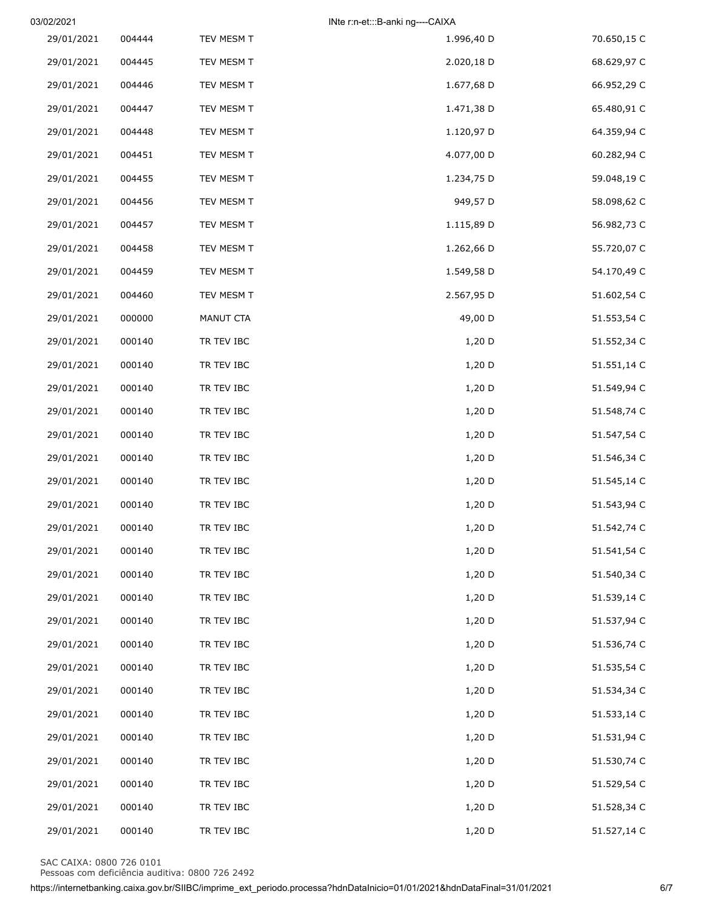| 03/02/2021 |        |            | INte r:n-et:::B-anki ng----CAIXA |             |
|------------|--------|------------|----------------------------------|-------------|
| 29/01/2021 | 004444 | TEV MESM T | 1.996,40 D                       | 70.650,15 C |
| 29/01/2021 | 004445 | TEV MESM T | 2.020,18 D                       | 68.629,97 C |
| 29/01/2021 | 004446 | TEV MESM T | 1.677,68 D                       | 66.952,29 C |
| 29/01/2021 | 004447 | TEV MESM T | 1.471,38 D                       | 65.480,91 C |
| 29/01/2021 | 004448 | TEV MESM T | 1.120,97 D                       | 64.359,94 C |
| 29/01/2021 | 004451 | TEV MESM T | 4.077,00 D                       | 60.282,94 C |
| 29/01/2021 | 004455 | TEV MESM T | 1.234,75 D                       | 59.048,19 C |
| 29/01/2021 | 004456 | TEV MESM T | 949,57 D                         | 58.098,62 C |
| 29/01/2021 | 004457 | TEV MESM T | 1.115,89 D                       | 56.982,73 C |
| 29/01/2021 | 004458 | TEV MESM T | 1.262,66 D                       | 55.720,07 C |
| 29/01/2021 | 004459 | TEV MESM T | 1.549,58 D                       | 54.170,49 C |
| 29/01/2021 | 004460 | TEV MESM T | 2.567,95 D                       | 51.602,54 C |
| 29/01/2021 | 000000 | MANUT CTA  | 49,00 D                          | 51.553,54 C |
| 29/01/2021 | 000140 | TR TEV IBC | 1,20 D                           | 51.552,34 C |
| 29/01/2021 | 000140 | TR TEV IBC | $1,20$ D                         | 51.551,14 C |
| 29/01/2021 | 000140 | TR TEV IBC | $1,20$ D                         | 51.549,94 C |
| 29/01/2021 | 000140 | TR TEV IBC | 1,20 D                           | 51.548,74 C |
| 29/01/2021 | 000140 | TR TEV IBC | $1,20$ D                         | 51.547,54 C |
| 29/01/2021 | 000140 | TR TEV IBC | $1,20$ D                         | 51.546,34 C |
| 29/01/2021 | 000140 | TR TEV IBC | $1,20$ D                         | 51.545,14 C |
| 29/01/2021 | 000140 | TR TEV IBC | $1,20$ D                         | 51.543,94 C |
| 29/01/2021 | 000140 | TR TEV IBC | 1,20 D                           | 51.542,74 C |
| 29/01/2021 | 000140 | TR TEV IBC | $1,20$ D                         | 51.541,54 C |
| 29/01/2021 | 000140 | TR TEV IBC | $1,20$ D                         | 51.540,34 C |
| 29/01/2021 | 000140 | TR TEV IBC | 1,20 D                           | 51.539,14 C |
| 29/01/2021 | 000140 | TR TEV IBC | $1,20$ D                         | 51.537,94 C |
| 29/01/2021 | 000140 | TR TEV IBC | $1,20$ D                         | 51.536,74 C |
| 29/01/2021 | 000140 | TR TEV IBC | $1,20$ D                         | 51.535,54 C |
| 29/01/2021 | 000140 | TR TEV IBC | $1,20$ D                         | 51.534,34 C |
| 29/01/2021 | 000140 | TR TEV IBC | 1,20 D                           | 51.533,14 C |
| 29/01/2021 | 000140 | TR TEV IBC | $1,20$ D                         | 51.531,94 C |
| 29/01/2021 | 000140 | TR TEV IBC | $1,20$ D                         | 51.530,74 C |
| 29/01/2021 | 000140 | TR TEV IBC | $1,20$ D                         | 51.529,54 C |
| 29/01/2021 | 000140 | TR TEV IBC | $1,20$ D                         | 51.528,34 C |
| 29/01/2021 | 000140 | TR TEV IBC | 1,20 D                           | 51.527,14 C |

SAC CAIXA: 0800 726 0101<br>Pessoas com deficiência auditiva: 0800 726 2492